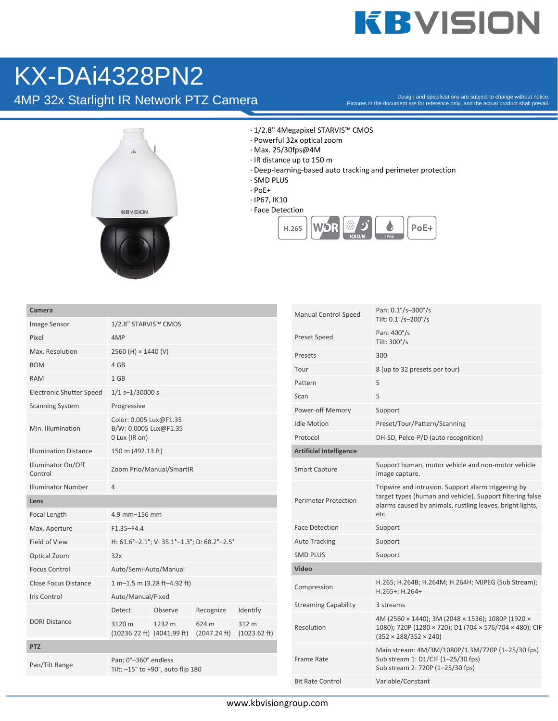## **KBVISION**

## KX-DAi4328PN2

4MP 32x Starlight IR Network PTZ Camera

Pictures in the document are for reference only, and the actual product shall prevail.



· 1/2.8" 4Megapixel STARVIS™ CMOS

- · Powerful 32x optical zoom
- · Max. 25/30fps@4M
- · IR distance up to 150 m
- · Deep-learning-based auto tracking and perimeter protection
- · SMD PLUS
- · PoE+
- · IP67, IK10
- · Face Detection



| Camera                          |                                                                  |                                                           |                       |                                 |  |
|---------------------------------|------------------------------------------------------------------|-----------------------------------------------------------|-----------------------|---------------------------------|--|
| Image Sensor                    | 1/2.8" STARVIS™ CMOS                                             |                                                           |                       |                                 |  |
| Pixel                           | 4MP                                                              |                                                           |                       |                                 |  |
| Max. Resolution                 | 2560 (H) × 1440 (V)                                              |                                                           |                       |                                 |  |
| <b>ROM</b>                      | 4 GB                                                             |                                                           |                       |                                 |  |
| <b>RAM</b>                      | 1 GB                                                             |                                                           |                       |                                 |  |
| <b>Electronic Shutter Speed</b> | $1/1$ s-1/30000 s                                                |                                                           |                       |                                 |  |
| <b>Scanning System</b>          | Progressive                                                      |                                                           |                       |                                 |  |
| Min. Illumination               | Color: 0.005 Lux@F1.35<br>B/W: 0.0005 Lux@F1.35<br>0 Lux (IR on) |                                                           |                       |                                 |  |
| <b>Illumination Distance</b>    | 150 m (492.13 ft)                                                |                                                           |                       |                                 |  |
| Illuminator On/Off<br>Control   | Zoom Prio/Manual/SmartIR                                         |                                                           |                       |                                 |  |
| <b>Illuminator Number</b>       | 4                                                                |                                                           |                       |                                 |  |
| Lens                            |                                                                  |                                                           |                       |                                 |  |
| Focal Length                    | 4.9 mm-156 mm                                                    |                                                           |                       |                                 |  |
| Max. Aperture                   | $F1.35 - F4.4$                                                   |                                                           |                       |                                 |  |
| Field of View                   | H: 61.6°-2.1°; V: 35.1°-1.3°; D: 68.2°-2.5°                      |                                                           |                       |                                 |  |
| Optical Zoom                    | 32x                                                              |                                                           |                       |                                 |  |
| <b>Focus Control</b>            | Auto/Semi-Auto/Manual                                            |                                                           |                       |                                 |  |
| Close Focus Distance            | $1 m-1.5 m (3.28 ft-4.92 ft)$                                    |                                                           |                       |                                 |  |
| Iris Control                    | Auto/Manual/Fixed                                                |                                                           |                       |                                 |  |
|                                 | <b>Detect</b>                                                    | Observe                                                   | Recognize             | Identify                        |  |
| <b>DORI Distance</b>            | 3120 m<br>$(10236.22 \text{ ft})$ $(4041.99 \text{ ft})$         | 1232 m                                                    | 624 m<br>(2047.24 ft) | 312 m<br>$(1023.62 \text{ ft})$ |  |
| <b>PTZ</b>                      |                                                                  |                                                           |                       |                                 |  |
|                                 |                                                                  | Pan: 0°-360° endless<br>Tilt: -15° to +90°, auto flip 180 |                       |                                 |  |
| Pan/Tilt Range                  |                                                                  |                                                           |                       |                                 |  |

| <b>Manual Control Speed</b>    | Pan: 0.1°/s-300°/s<br>Tilt: 0.1°/s-200°/s                                                                                                                                             |
|--------------------------------|---------------------------------------------------------------------------------------------------------------------------------------------------------------------------------------|
| Preset Speed                   | Pan: 400°/s<br>Tilt: $300^{\circ}/s$                                                                                                                                                  |
| Presets                        | 300                                                                                                                                                                                   |
| Tour                           | 8 (up to 32 presets per tour)                                                                                                                                                         |
| Pattern                        | 5                                                                                                                                                                                     |
| Scan                           | 5                                                                                                                                                                                     |
| Power-off Memory               | Support                                                                                                                                                                               |
| <b>Idle Motion</b>             | Preset/Tour/Pattern/Scanning                                                                                                                                                          |
| Protocol                       | DH-SD, Pelco-P/D (auto recognition)                                                                                                                                                   |
| <b>Artificial Intelligence</b> |                                                                                                                                                                                       |
| Smart Capture                  | Support human, motor vehicle and non-motor vehicle<br>image capture.                                                                                                                  |
| Perimeter Protection           | Tripwire and intrusion. Support alarm triggering by<br>target types (human and vehicle). Support filtering false<br>alarms caused by animals, rustling leaves, bright lights,<br>etc. |
| <b>Face Detection</b>          | Support                                                                                                                                                                               |
| <b>Auto Tracking</b>           | Support                                                                                                                                                                               |
| SMD PLUS                       | Support                                                                                                                                                                               |
| Video                          |                                                                                                                                                                                       |
| Compression                    | H.265; H.264B; H.264M; H.264H; MJPEG (Sub Stream);<br>H.265+; H.264+                                                                                                                  |
| <b>Streaming Capability</b>    | 3 streams                                                                                                                                                                             |
| Resolution                     | 4M (2560 × 1440); 3M (2048 × 1536); 1080P (1920 ×<br>1080); 720P (1280 × 720); D1 (704 × 576/704 × 480); CIF<br>$(352 \times 288/352 \times 240)$                                     |
| Frame Rate                     | Main stream: 4M/3M/1080P/1.3M/720P (1-25/30 fps)<br>Sub stream 1: D1/CIF (1-25/30 fps)<br>Sub stream 2: 720P (1-25/30 fps)                                                            |
| <b>Bit Rate Control</b>        | Variable/Constant                                                                                                                                                                     |